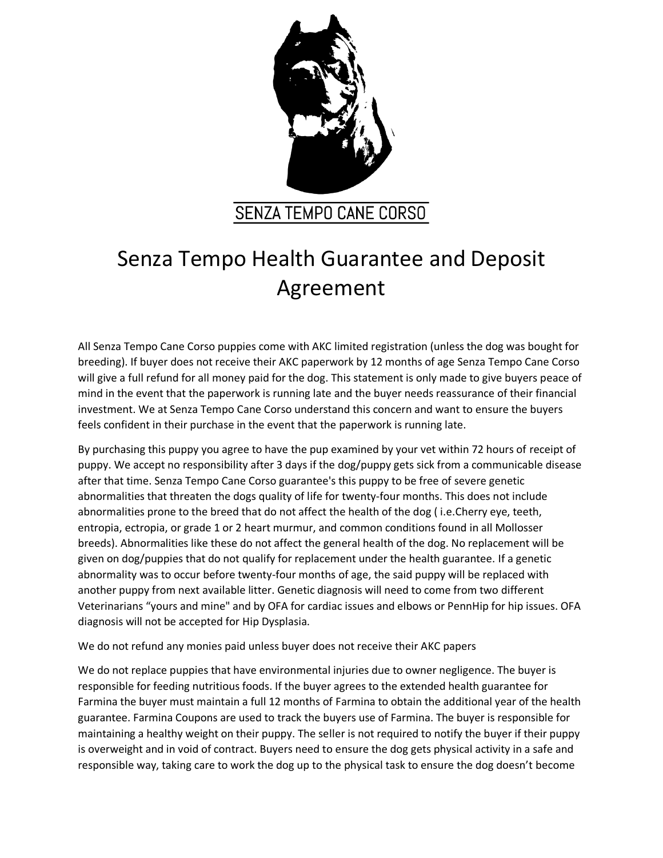

## **SENZA TEMPO CANE CORSO**

## Senza Tempo Health Guarantee and Deposit Agreement

All Senza Tempo Cane Corso puppies come with AKC limited registration (unless the dog was bought for breeding). If buyer does not receive their AKC paperwork by 12 months of age Senza Tempo Cane Corso will give a full refund for all money paid for the dog. This statement is only made to give buyers peace of mind in the event that the paperwork is running late and the buyer needs reassurance of their financial investment. We at Senza Tempo Cane Corso understand this concern and want to ensure the buyers feels confident in their purchase in the event that the paperwork is running late.

By purchasing this puppy you agree to have the pup examined by your vet within 72 hours of receipt of puppy. We accept no responsibility after 3 days if the dog/puppy gets sick from a communicable disease after that time. Senza Tempo Cane Corso guarantee's this puppy to be free of severe genetic abnormalities that threaten the dogs quality of life for twenty-four months. This does not include abnormalities prone to the breed that do not affect the health of the dog ( i.e.Cherry eye, teeth, entropia, ectropia, or grade 1 or 2 heart murmur, and common conditions found in all Mollosser breeds). Abnormalities like these do not affect the general health of the dog. No replacement will be given on dog/puppies that do not qualify for replacement under the health guarantee. If a genetic abnormality was to occur before twenty-four months of age, the said puppy will be replaced with another puppy from next available litter. Genetic diagnosis will need to come from two different Veterinarians "yours and mine" and by OFA for cardiac issues and elbows or PennHip for hip issues. OFA diagnosis will not be accepted for Hip Dysplasia.

We do not refund any monies paid unless buyer does not receive their AKC papers

We do not replace puppies that have environmental injuries due to owner negligence. The buyer is responsible for feeding nutritious foods. If the buyer agrees to the extended health guarantee for Farmina the buyer must maintain a full 12 months of Farmina to obtain the additional year of the health guarantee. Farmina Coupons are used to track the buyers use of Farmina. The buyer is responsible for maintaining a healthy weight on their puppy. The seller is not required to notify the buyer if their puppy is overweight and in void of contract. Buyers need to ensure the dog gets physical activity in a safe and responsible way, taking care to work the dog up to the physical task to ensure the dog doesn't become